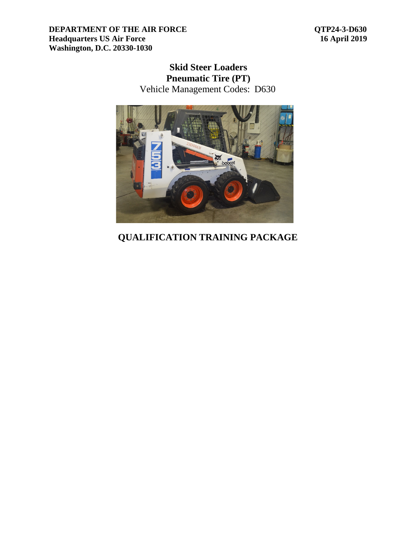**QTP24-3-D630 16 April 2019**

## **Skid Steer Loaders Pneumatic Tire (PT)** Vehicle Management Codes: D630



# **QUALIFICATION TRAINING PACKAGE**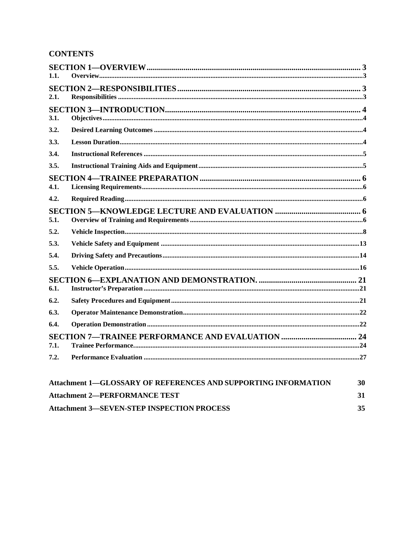## **CONTENTS**

| 1.1. |                                                                       |    |
|------|-----------------------------------------------------------------------|----|
|      |                                                                       |    |
| 2.1. |                                                                       |    |
|      |                                                                       |    |
| 3.1. |                                                                       |    |
| 3.2. |                                                                       |    |
| 3.3. |                                                                       |    |
| 3.4. |                                                                       |    |
| 3.5. |                                                                       |    |
|      |                                                                       |    |
| 4.1. |                                                                       |    |
| 4.2. |                                                                       |    |
|      |                                                                       |    |
| 5.1. |                                                                       |    |
| 5.2. |                                                                       |    |
| 5.3. |                                                                       |    |
| 5.4. |                                                                       |    |
| 5.5. |                                                                       |    |
|      |                                                                       |    |
| 6.1. |                                                                       |    |
| 6.2. |                                                                       |    |
| 6.3. |                                                                       |    |
| 6.4. |                                                                       |    |
|      |                                                                       |    |
| 7.1. |                                                                       |    |
| 7.2. |                                                                       |    |
|      | <b>Attachment 1–GLOSSARY OF REFERENCES AND SUPPORTING INFORMATION</b> | 30 |
|      | <b>Attachment 2-PERFORMANCE TEST</b>                                  | 31 |
|      | <b>Attachment 3-SEVEN-STEP INSPECTION PROCESS</b>                     | 35 |

**Attachment 3-SEVEN-STEP INSPECTION PROCESS**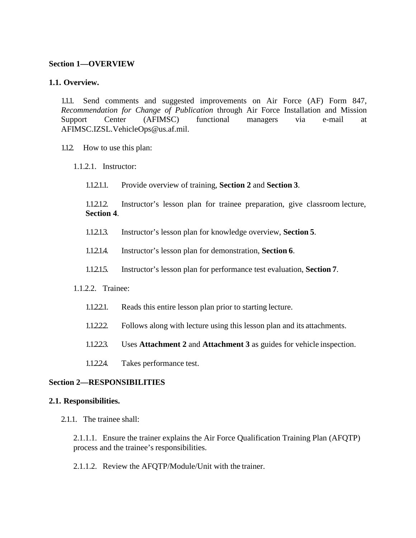#### <span id="page-2-0"></span>**Section 1—OVERVIEW**

#### <span id="page-2-1"></span>**1.1. Overview.**

1.1.1. Send comments and suggested improvements on Air Force (AF) Form 847, *Recommendation for Change of Publication* through Air Force Installation and Mission Support Center (AFIMSC) functional managers via e-mail at [AFIMSC.IZSL.VehicleOps@us.af.mil.](mailto:AFIMSC.IZSL.VehicleOps@us.af.mil)

- 1.1.2. How to use this plan:
	- 1.1.2.1. Instructor:
		- 1.1.2.1.1. Provide overview of training, **Section 2** and **Section 3**.

1.1.2.1.2. Instructor's lesson plan for trainee preparation, give classroom lecture, **Section 4**.

- 1.1.2.1.3. Instructor's lesson plan for knowledge overview, **Section 5**.
- 1.1.2.1.4. Instructor's lesson plan for demonstration, **Section 6**.
- 1.1.2.1.5. Instructor's lesson plan for performance test evaluation, **Section 7**.

#### 1.1.2.2. Trainee:

- 1.1.2.2.1. Reads this entire lesson plan prior to starting lecture.
- 1.1.2.2.2. Follows along with lecture using this lesson plan and its attachments.
- 1.1.2.2.3. Uses **Attachment 2** and **Attachment 3** as guides for vehicle inspection.
- 1.1.2.2.4. Takes performance test.

#### <span id="page-2-2"></span>**Section 2—RESPONSIBILITIES**

#### <span id="page-2-3"></span>**2.1. Responsibilities.**

2.1.1. The trainee shall:

2.1.1.1. Ensure the trainer explains the Air Force Qualification Training Plan (AFQTP) process and the trainee's responsibilities.

2.1.1.2. Review the AFQTP/Module/Unit with the trainer.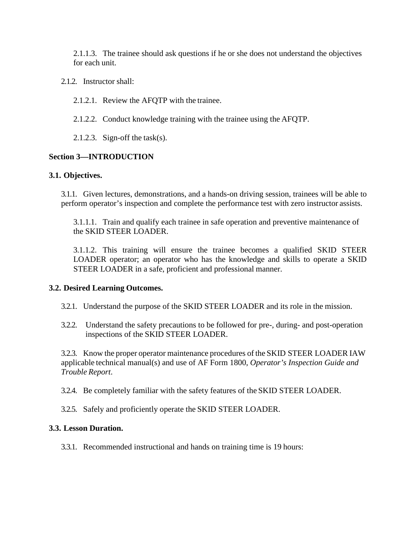2.1.1.3. The trainee should ask questions if he or she does not understand the objectives for each unit.

2.1.2. Instructor shall:

2.1.2.1. Review the AFQTP with the trainee.

2.1.2.2. Conduct knowledge training with the trainee using the AFQTP.

2.1.2.3. Sign-off the task(s).

## <span id="page-3-0"></span>**Section 3—INTRODUCTION**

### <span id="page-3-1"></span>**3.1. Objectives.**

3.1.1. Given lectures, demonstrations, and a hands-on driving session, trainees will be able to perform operator's inspection and complete the performance test with zero instructor assists.

3.1.1.1. Train and qualify each trainee in safe operation and preventive maintenance of the SKID STEER LOADER.

3.1.1.2. This training will ensure the trainee becomes a qualified SKID STEER LOADER operator; an operator who has the knowledge and skills to operate a SKID STEER LOADER in a safe, proficient and professional manner.

### <span id="page-3-2"></span>**3.2. Desired Learning Outcomes.**

- 3.2.1. Understand the purpose of the SKID STEER LOADER and its role in the mission.
- 3.2.2. Understand the safety precautions to be followed for pre-, during- and post-operation inspections of the SKID STEER LOADER.

3.2.3. Know the proper operator maintenance procedures of the SKID STEER LOADER IAW applicable technical manual(s) and use of AF Form 1800, *Operator's Inspection Guide and Trouble Report*.

3.2.4. Be completely familiar with the safety features of the SKID STEER LOADER.

3.2.5. Safely and proficiently operate the SKID STEER LOADER.

### <span id="page-3-3"></span>**3.3. Lesson Duration.**

3.3.1. Recommended instructional and hands on training time is 19 hours: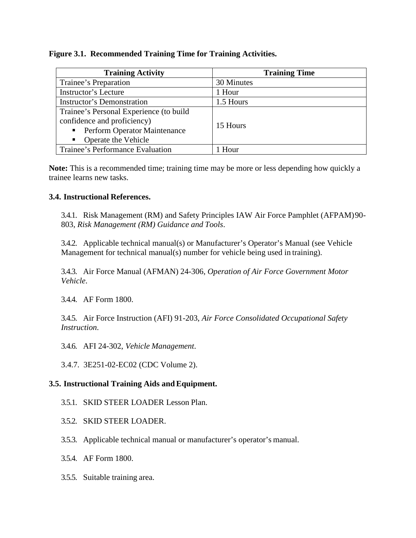### **Figure 3.1. Recommended Training Time for Training Activities.**

| <b>Training Activity</b>                | <b>Training Time</b> |  |
|-----------------------------------------|----------------------|--|
| Trainee's Preparation                   | 30 Minutes           |  |
| Instructor's Lecture                    | 1 Hour               |  |
| Instructor's Demonstration              | 1.5 Hours            |  |
| Trainee's Personal Experience (to build |                      |  |
| confidence and proficiency)             | 15 Hours             |  |
| • Perform Operator Maintenance          |                      |  |
| Operate the Vehicle<br>$\blacksquare$   |                      |  |
| Trainee's Performance Evaluation        | 1 Hour               |  |

**Note:** This is a recommended time; training time may be more or less depending how quickly a trainee learns new tasks.

## <span id="page-4-0"></span>**3.4. Instructional References.**

3.4.1. Risk Management (RM) and Safety Principles IAW Air Force Pamphlet (AFPAM)90- 803, *Risk Management (RM) Guidance and Tools*.

3.4.2. Applicable technical manual(s) or Manufacturer's Operator's Manual (see Vehicle Management for technical manual(s) number for vehicle being used in training).

3.4.3. Air Force Manual (AFMAN) 24-306, *Operation of Air Force Government Motor Vehicle*.

3.4.4. AF Form 1800.

3.4.5. Air Force Instruction (AFI) 91-203, *Air Force Consolidated Occupational Safety Instruction*.

3.4.6. AFI 24-302, *Vehicle Management*.

3.4.7. 3E251-02-EC02 (CDC Volume 2).

## <span id="page-4-1"></span>**3.5. Instructional Training Aids andEquipment.**

- 3.5.1. SKID STEER LOADER Lesson Plan.
- 3.5.2. SKID STEER LOADER.
- 3.5.3. Applicable technical manual or manufacturer's operator's manual.
- 3.5.4. AF Form 1800.
- 3.5.5. Suitable training area.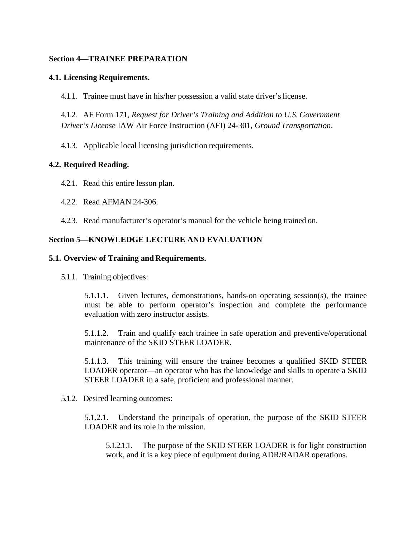#### <span id="page-5-0"></span>**Section 4—TRAINEE PREPARATION**

#### <span id="page-5-1"></span>**4.1. Licensing Requirements.**

4.1.1. Trainee must have in his/her possession a valid state driver's license.

4.1.2. AF Form 171, *Request for Driver's Training and Addition to U.S. Government Driver's License* IAW Air Force Instruction (AFI) 24-301, *Ground Transportation*.

4.1.3. Applicable local licensing jurisdiction requirements.

### <span id="page-5-2"></span>**4.2. Required Reading.**

- 4.2.1. Read this entire lesson plan.
- 4.2.2. Read AFMAN 24-306.
- 4.2.3. Read manufacturer's operator's manual for the vehicle being trained on.

### <span id="page-5-3"></span>**Section 5—KNOWLEDGE LECTURE AND EVALUATION**

#### <span id="page-5-4"></span>**5.1. Overview of Training and Requirements.**

5.1.1. Training objectives:

5.1.1.1. Given lectures, demonstrations, hands-on operating session(s), the trainee must be able to perform operator's inspection and complete the performance evaluation with zero instructor assists.

5.1.1.2. Train and qualify each trainee in safe operation and preventive/operational maintenance of the SKID STEER LOADER.

5.1.1.3. This training will ensure the trainee becomes a qualified SKID STEER LOADER operator—an operator who has the knowledge and skills to operate a SKID STEER LOADER in a safe, proficient and professional manner.

5.1.2. Desired learning outcomes:

5.1.2.1. Understand the principals of operation, the purpose of the SKID STEER LOADER and its role in the mission.

5.1.2.1.1. The purpose of the SKID STEER LOADER is for light construction work, and it is a key piece of equipment during ADR/RADAR operations.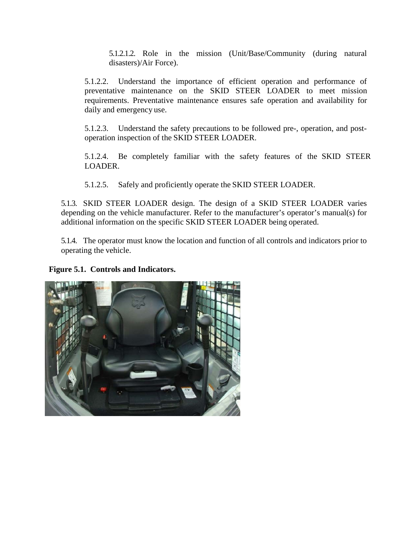5.1.2.1.2. Role in the mission (Unit/Base/Community (during natural disasters)/Air Force).

5.1.2.2. Understand the importance of efficient operation and performance of preventative maintenance on the SKID STEER LOADER to meet mission requirements. Preventative maintenance ensures safe operation and availability for daily and emergency use.

5.1.2.3. Understand the safety precautions to be followed pre-, operation, and postoperation inspection of the SKID STEER LOADER.

5.1.2.4. Be completely familiar with the safety features of the SKID STEER LOADER.

5.1.2.5. Safely and proficiently operate the SKID STEER LOADER.

5.1.3. SKID STEER LOADER design. The design of a SKID STEER LOADER varies depending on the vehicle manufacturer. Refer to the manufacturer's operator's manual(s) for additional information on the specific SKID STEER LOADER being operated.

5.1.4. The operator must know the location and function of all controls and indicators prior to operating the vehicle.

**Figure 5.1. Controls and Indicators.**

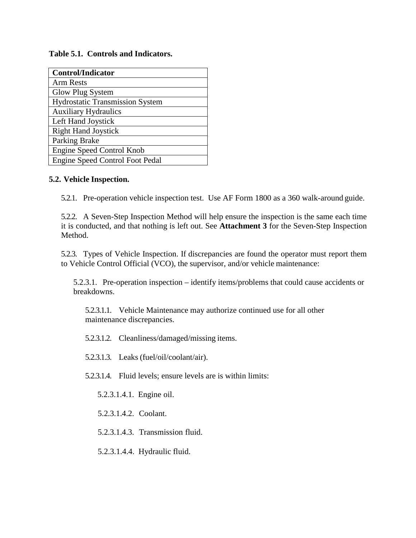### **Table 5.1. Controls and Indicators.**

| <b>Control/Indicator</b>               |
|----------------------------------------|
| <b>Arm Rests</b>                       |
| Glow Plug System                       |
| <b>Hydrostatic Transmission System</b> |
| <b>Auxiliary Hydraulics</b>            |
| Left Hand Joystick                     |
| <b>Right Hand Joystick</b>             |
| Parking Brake                          |
| Engine Speed Control Knob              |
| <b>Engine Speed Control Foot Pedal</b> |

## <span id="page-7-0"></span>**5.2. Vehicle Inspection.**

5.2.1. Pre-operation vehicle inspection test. Use AF Form 1800 as a 360 walk-around guide.

5.2.2. A Seven-Step Inspection Method will help ensure the inspection is the same each time it is conducted, and that nothing is left out. See **Attachment 3** for the Seven-Step Inspection Method.

5.2.3. Types of Vehicle Inspection. If discrepancies are found the operator must report them to Vehicle Control Official (VCO), the supervisor, and/or vehicle maintenance:

5.2.3.1. Pre-operation inspection – identify items/problems that could cause accidents or breakdowns.

5.2.3.1.1. Vehicle Maintenance may authorize continued use for all other maintenance discrepancies.

5.2.3.1.2. Cleanliness/damaged/missing items.

5.2.3.1.3. Leaks (fuel/oil/coolant/air).

5.2.3.1.4. Fluid levels; ensure levels are is within limits:

5.2.3.1.4.1. Engine oil.

5.2.3.1.4.2. Coolant.

5.2.3.1.4.3. Transmission fluid.

5.2.3.1.4.4. Hydraulic fluid.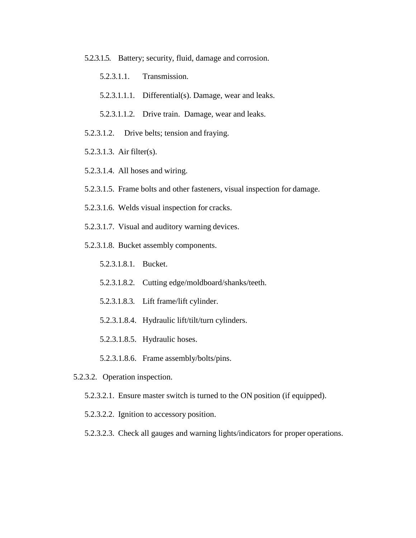5.2.3.1.5. Battery; security, fluid, damage and corrosion.

5.2.3.1.1. Transmission.

5.2.3.1.1.1. Differential(s). Damage, wear and leaks.

5.2.3.1.1.2. Drive train. Damage, wear and leaks.

- 5.2.3.1.2. Drive belts; tension and fraying.
- 5.2.3.1.3. Air filter(s).
- 5.2.3.1.4. All hoses and wiring.
- 5.2.3.1.5. Frame bolts and other fasteners, visual inspection for damage.
- 5.2.3.1.6. Welds visual inspection for cracks.
- 5.2.3.1.7. Visual and auditory warning devices.
- 5.2.3.1.8. Bucket assembly components.

5.2.3.1.8.1. Bucket.

- 5.2.3.1.8.2. Cutting edge/moldboard/shanks/teeth.
- 5.2.3.1.8.3. Lift frame/lift cylinder.
- 5.2.3.1.8.4. Hydraulic lift/tilt/turn cylinders.

5.2.3.1.8.5. Hydraulic hoses.

- 5.2.3.1.8.6. Frame assembly/bolts/pins.
- 5.2.3.2. Operation inspection.
	- 5.2.3.2.1. Ensure master switch is turned to the ON position (if equipped).
	- 5.2.3.2.2. Ignition to accessory position.
	- 5.2.3.2.3. Check all gauges and warning lights/indicators for proper operations.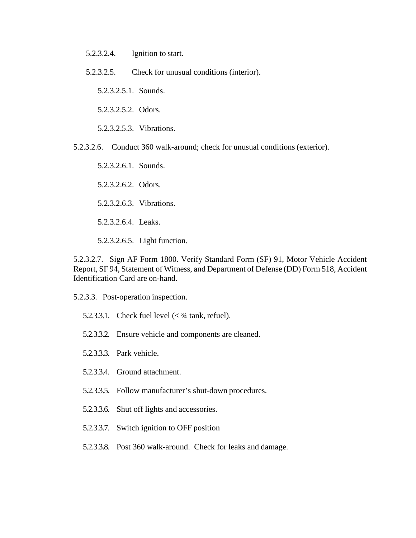- 5.2.3.2.4. Ignition to start.
- 5.2.3.2.5. Check for unusual conditions (interior).

5.2.3.2.5.1. Sounds.

5.2.3.2.5.2. Odors.

5.2.3.2.5.3. Vibrations.

5.2.3.2.6. Conduct 360 walk-around; check for unusual conditions (exterior).

5.2.3.2.6.1. Sounds. 5.2.3.2.6.2. Odors. 5.2.3.2.6.3. Vibrations. 5.2.3.2.6.4. Leaks.

5.2.3.2.6.5. Light function.

5.2.3.2.7. Sign AF Form 1800. Verify Standard Form (SF) 91, Motor Vehicle Accident Report, SF 94, Statement of Witness, and Department of Defense (DD) Form 518, Accident Identification Card are on-hand.

- 5.2.3.3. Post-operation inspection.
	- 5.2.3.3.1. Check fuel level  $\ll$  3/4 tank, refuel).
	- 5.2.3.3.2. Ensure vehicle and components are cleaned.
	- 5.2.3.3.3. Park vehicle.
	- 5.2.3.3.4. Ground attachment.
	- 5.2.3.3.5. Follow manufacturer's shut-down procedures.
	- 5.2.3.3.6. Shut off lights and accessories.
	- 5.2.3.3.7. Switch ignition to OFF position
	- 5.2.3.3.8. Post 360 walk-around. Check for leaks and damage.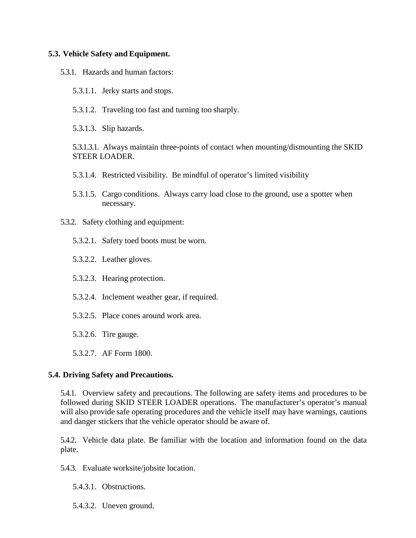#### <span id="page-10-0"></span>**5.3. Vehicle Safety and Equipment.**

- 5.3.1. Hazards and human factors:
	- 5.3.1.1. Jerky starts and stops.
	- 5.3.1.2. Traveling too fast and turning too sharply.
	- 5.3.1.3. Slip hazards.

5.3.1.3.1. Always maintain three-points of contact when mounting/dismounting the SKID STEER LOADER.

- 5.3.1.4. Restricted visibility. Be mindful of operator's limited visibility
- 5.3.1.5. Cargo conditions. Always carry load close to the ground, use a spotter when necessary.
- 5.3.2. Safety clothing and equipment:
	- 5.3.2.1. Safety toed boots must be worn.
	- 5.3.2.2. Leather gloves.
	- 5.3.2.3. Hearing protection.
	- 5.3.2.4. Inclement weather gear, if required.
	- 5.3.2.5. Place cones around work area.
	- 5.3.2.6. Tire gauge.
	- 5.3.2.7. AF Form 1800.

### <span id="page-10-1"></span>**5.4. Driving Safety and Precautions.**

5.4.1. Overview safety and precautions. The following are safety items and procedures to be followed during SKID STEER LOADER operations. The manufacturer's operator's manual will also provide safe operating procedures and the vehicle itself may have warnings, cautions and danger stickers that the vehicle operator should be aware of.

5.4.2. Vehicle data plate. Be familiar with the location and information found on the data plate.

5.4.3. Evaluate worksite/jobsite location.

5.4.3.1. Obstructions.

5.4.3.2. Uneven ground.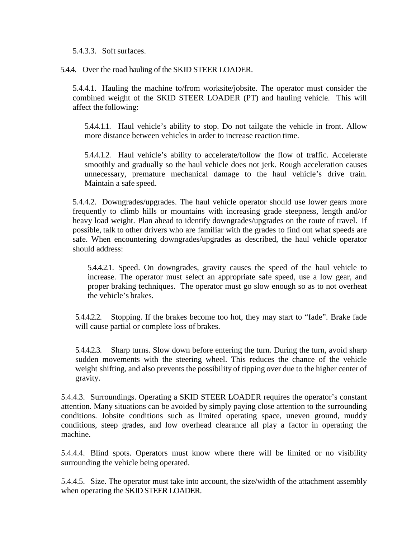5.4.3.3. Soft surfaces.

5.4.4. Over the road hauling of the SKID STEER LOADER.

5.4.4.1. Hauling the machine to/from worksite/jobsite. The operator must consider the combined weight of the SKID STEER LOADER (PT) and hauling vehicle. This will affect the following:

5.4.4.1.1. Haul vehicle's ability to stop. Do not tailgate the vehicle in front. Allow more distance between vehicles in order to increase reaction time.

5.4.4.1.2. Haul vehicle's ability to accelerate/follow the flow of traffic. Accelerate smoothly and gradually so the haul vehicle does not jerk. Rough acceleration causes unnecessary, premature mechanical damage to the haul vehicle's drive train. Maintain a safe speed.

5.4.4.2. Downgrades/upgrades. The haul vehicle operator should use lower gears more frequently to climb hills or mountains with increasing grade steepness, length and/or heavy load weight. Plan ahead to identify downgrades/upgrades on the route of travel. If possible, talk to other drivers who are familiar with the grades to find out what speeds are safe. When encountering downgrades/upgrades as described, the haul vehicle operator should address:

5.4.4.2.1. Speed. On downgrades, gravity causes the speed of the haul vehicle to increase. The operator must select an appropriate safe speed, use a low gear, and proper braking techniques. The operator must go slow enough so as to not overheat the vehicle's brakes.

5.4.4.2.2. Stopping. If the brakes become too hot, they may start to "fade". Brake fade will cause partial or complete loss of brakes.

5.4.4.2.3. Sharp turns. Slow down before entering the turn. During the turn, avoid sharp sudden movements with the steering wheel. This reduces the chance of the vehicle weight shifting, and also prevents the possibility of tipping over due to the higher center of gravity.

5.4.4.3. Surroundings. Operating a SKID STEER LOADER requires the operator's constant attention. Many situations can be avoided by simply paying close attention to the surrounding conditions. Jobsite conditions such as limited operating space, uneven ground, muddy conditions, steep grades, and low overhead clearance all play a factor in operating the machine.

5.4.4.4. Blind spots. Operators must know where there will be limited or no visibility surrounding the vehicle being operated.

5.4.4.5. Size. The operator must take into account, the size/width of the attachment assembly when operating the SKID STEER LOADER.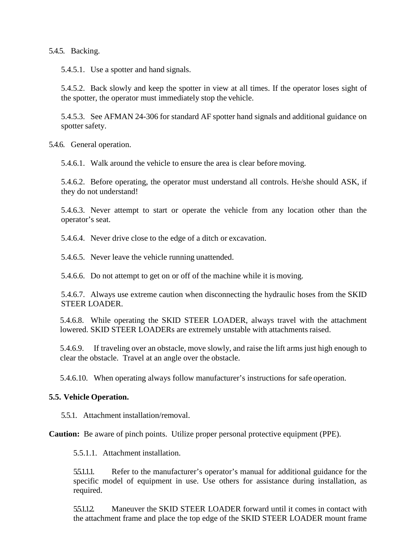5.4.5. Backing.

5.4.5.1. Use a spotter and hand signals.

5.4.5.2. Back slowly and keep the spotter in view at all times. If the operator loses sight of the spotter, the operator must immediately stop the vehicle.

5.4.5.3. See AFMAN 24-306 for standard AF spotter hand signals and additional guidance on spotter safety.

5.4.6. General operation.

5.4.6.1. Walk around the vehicle to ensure the area is clear before moving.

5.4.6.2. Before operating, the operator must understand all controls. He/she should ASK, if they do not understand!

5.4.6.3. Never attempt to start or operate the vehicle from any location other than the operator's seat.

5.4.6.4. Never drive close to the edge of a ditch or excavation.

5.4.6.5. Never leave the vehicle running unattended.

5.4.6.6. Do not attempt to get on or off of the machine while it is moving.

5.4.6.7. Always use extreme caution when disconnecting the hydraulic hoses from the SKID STEER LOADER.

5.4.6.8. While operating the SKID STEER LOADER, always travel with the attachment lowered. SKID STEER LOADERs are extremely unstable with attachments raised.

5.4.6.9. If traveling over an obstacle, move slowly, and raise the lift arms just high enough to clear the obstacle. Travel at an angle over the obstacle.

5.4.6.10. When operating always follow manufacturer's instructions for safe operation.

### <span id="page-12-0"></span>**5.5. Vehicle Operation.**

5.5.1. Attachment installation/removal.

**Caution:** Be aware of pinch points. Utilize proper personal protective equipment (PPE).

5.5.1.1. Attachment installation.

5.5.1.1.1. Refer to the manufacturer's operator's manual for additional guidance for the specific model of equipment in use. Use others for assistance during installation, as required.

5.5.1.1.2. Maneuver the SKID STEER LOADER forward until it comes in contact with the attachment frame and place the top edge of the SKID STEER LOADER mount frame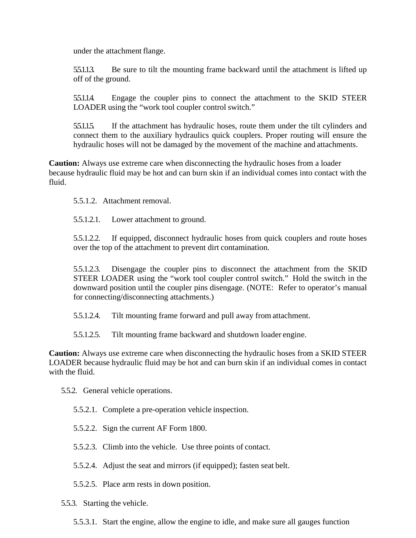under the attachment flange.

5.5.1.1.3. Be sure to tilt the mounting frame backward until the attachment is lifted up off of the ground.

5.5.1.1.4. Engage the coupler pins to connect the attachment to the SKID STEER LOADER using the "work tool coupler control switch."

5.5.1.1.5. If the attachment has hydraulic hoses, route them under the tilt cylinders and connect them to the auxiliary hydraulics quick couplers. Proper routing will ensure the hydraulic hoses will not be damaged by the movement of the machine and attachments.

**Caution:** Always use extreme care when disconnecting the hydraulic hoses from a loader because hydraulic fluid may be hot and can burn skin if an individual comes into contact with the fluid.

5.5.1.2. Attachment removal.

5.5.1.2.1. Lower attachment to ground.

5.5.1.2.2. If equipped, disconnect hydraulic hoses from quick couplers and route hoses over the top of the attachment to prevent dirt contamination.

5.5.1.2.3. Disengage the coupler pins to disconnect the attachment from the SKID STEER LOADER using the "work tool coupler control switch." Hold the switch in the downward position until the coupler pins disengage. (NOTE: Refer to operator's manual for connecting/disconnecting attachments.)

5.5.1.2.4. Tilt mounting frame forward and pull away from attachment.

5.5.1.2.5. Tilt mounting frame backward and shutdown loader engine.

**Caution:** Always use extreme care when disconnecting the hydraulic hoses from a SKID STEER LOADER because hydraulic fluid may be hot and can burn skin if an individual comes in contact with the fluid.

5.5.2. General vehicle operations.

5.5.2.1. Complete a pre-operation vehicle inspection.

- 5.5.2.2. Sign the current AF Form 1800.
- 5.5.2.3. Climb into the vehicle. Use three points of contact.
- 5.5.2.4. Adjust the seat and mirrors (if equipped); fasten seat belt.
- 5.5.2.5. Place arm rests in down position.

5.5.3. Starting the vehicle.

5.5.3.1. Start the engine, allow the engine to idle, and make sure all gauges function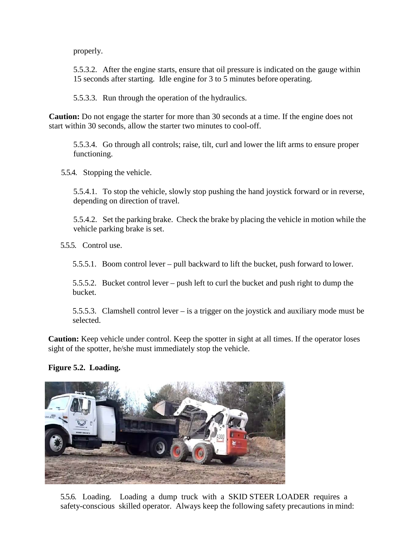properly.

5.5.3.2. After the engine starts, ensure that oil pressure is indicated on the gauge within 15 seconds after starting. Idle engine for 3 to 5 minutes before operating.

5.5.3.3. Run through the operation of the hydraulics.

**Caution:** Do not engage the starter for more than 30 seconds at a time. If the engine does not start within 30 seconds, allow the starter two minutes to cool-off.

5.5.3.4. Go through all controls; raise, tilt, curl and lower the lift arms to ensure proper functioning.

5.5.4. Stopping the vehicle.

5.5.4.1. To stop the vehicle, slowly stop pushing the hand joystick forward or in reverse, depending on direction of travel.

5.5.4.2. Set the parking brake. Check the brake by placing the vehicle in motion while the vehicle parking brake is set.

5.5.5. Control use.

5.5.5.1. Boom control lever – pull backward to lift the bucket, push forward to lower.

5.5.5.2. Bucket control lever – push left to curl the bucket and push right to dump the bucket.

5.5.5.3. Clamshell control lever – is a trigger on the joystick and auxiliary mode must be selected.

**Caution:** Keep vehicle under control. Keep the spotter in sight at all times. If the operator loses sight of the spotter, he/she must immediately stop the vehicle.

**Figure 5.2. Loading.**



5.5.6. Loading. Loading a dump truck with a SKID STEER LOADER requires a safety-conscious skilled operator. Always keep the following safety precautions in mind: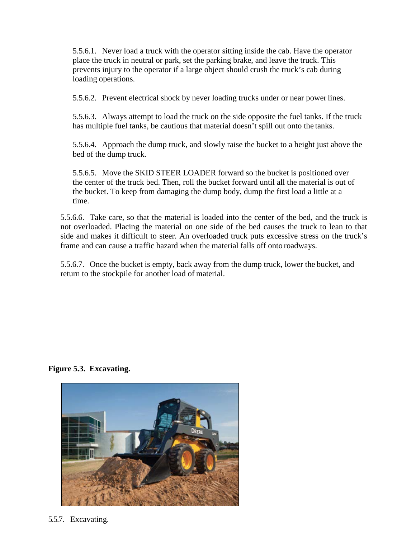5.5.6.1. Never load a truck with the operator sitting inside the cab. Have the operator place the truck in neutral or park, set the parking brake, and leave the truck. This prevents injury to the operator if a large object should crush the truck's cab during loading operations.

5.5.6.2. Prevent electrical shock by never loading trucks under or near power lines.

5.5.6.3. Always attempt to load the truck on the side opposite the fuel tanks. If the truck has multiple fuel tanks, be cautious that material doesn't spill out onto the tanks.

5.5.6.4. Approach the dump truck, and slowly raise the bucket to a height just above the bed of the dump truck.

5.5.6.5. Move the SKID STEER LOADER forward so the bucket is positioned over the center of the truck bed. Then, roll the bucket forward until all the material is out of the bucket. To keep from damaging the dump body, dump the first load a little at a time.

5.5.6.6. Take care, so that the material is loaded into the center of the bed, and the truck is not overloaded. Placing the material on one side of the bed causes the truck to lean to that side and makes it difficult to steer. An overloaded truck puts excessive stress on the truck's frame and can cause a traffic hazard when the material falls off onto roadways.

5.5.6.7. Once the bucket is empty, back away from the dump truck, lower the bucket, and return to the stockpile for another load of material.

**Figure 5.3. Excavating.**



5.5.7. Excavating.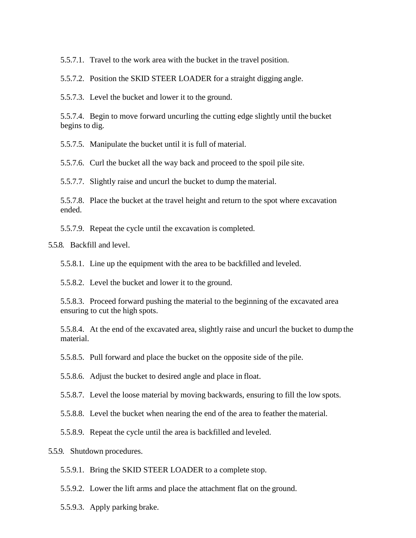5.5.7.1. Travel to the work area with the bucket in the travel position.

5.5.7.2. Position the SKID STEER LOADER for a straight digging angle.

5.5.7.3. Level the bucket and lower it to the ground.

5.5.7.4. Begin to move forward uncurling the cutting edge slightly until the bucket begins to dig.

5.5.7.5. Manipulate the bucket until it is full of material.

5.5.7.6. Curl the bucket all the way back and proceed to the spoil pile site.

5.5.7.7. Slightly raise and uncurl the bucket to dump the material.

5.5.7.8. Place the bucket at the travel height and return to the spot where excavation ended.

5.5.7.9. Repeat the cycle until the excavation is completed.

5.5.8. Backfill and level.

5.5.8.1. Line up the equipment with the area to be backfilled and leveled.

5.5.8.2. Level the bucket and lower it to the ground.

5.5.8.3. Proceed forward pushing the material to the beginning of the excavated area ensuring to cut the high spots.

5.5.8.4. At the end of the excavated area, slightly raise and uncurl the bucket to dump the material.

5.5.8.5. Pull forward and place the bucket on the opposite side of the pile.

5.5.8.6. Adjust the bucket to desired angle and place in float.

5.5.8.7. Level the loose material by moving backwards, ensuring to fill the low spots.

5.5.8.8. Level the bucket when nearing the end of the area to feather the material.

5.5.8.9. Repeat the cycle until the area is backfilled and leveled.

5.5.9. Shutdown procedures.

5.5.9.1. Bring the SKID STEER LOADER to a complete stop.

5.5.9.2. Lower the lift arms and place the attachment flat on the ground.

5.5.9.3. Apply parking brake.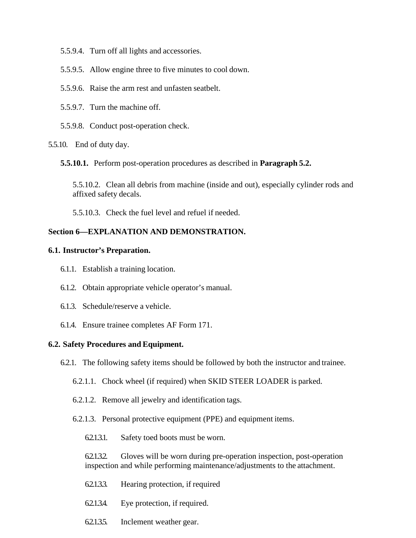- 5.5.9.4. Turn off all lights and accessories.
- 5.5.9.5. Allow engine three to five minutes to cool down.
- 5.5.9.6. Raise the arm rest and unfasten seatbelt.
- 5.5.9.7. Turn the machine off.
- 5.5.9.8. Conduct post-operation check.
- 5.5.10. End of duty day.
	- **5.5.10.1.** Perform post-operation procedures as described in **Paragraph 5.2.**

5.5.10.2. Clean all debris from machine (inside and out), especially cylinder rods and affixed safety decals.

5.5.10.3. Check the fuel level and refuel if needed.

## <span id="page-17-0"></span>**Section 6—EXPLANATION AND DEMONSTRATION.**

#### <span id="page-17-1"></span>**6.1. Instructor's Preparation.**

- 6.1.1. Establish a training location.
- 6.1.2. Obtain appropriate vehicle operator's manual.
- 6.1.3. Schedule/reserve a vehicle.
- 6.1.4. Ensure trainee completes AF Form 171.

#### <span id="page-17-2"></span>**6.2. Safety Procedures and Equipment.**

- 6.2.1. The following safety items should be followed by both the instructor and trainee.
	- 6.2.1.1. Chock wheel (if required) when SKID STEER LOADER is parked.
	- 6.2.1.2. Remove all jewelry and identification tags.
	- 6.2.1.3. Personal protective equipment (PPE) and equipment items.
		- 6.2.1.3.1. Safety toed boots must be worn.

6.2.1.3.2. Gloves will be worn during pre-operation inspection, post-operation inspection and while performing maintenance/adjustments to the attachment.

- 6.2.1.3.3. Hearing protection, if required
- 6.2.1.3.4. Eye protection, if required.
- 6.2.1.3.5. Inclement weather gear.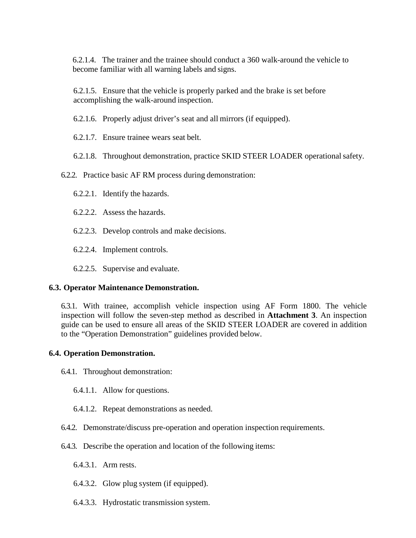6.2.1.4. The trainer and the trainee should conduct a 360 walk-around the vehicle to become familiar with all warning labels and signs.

6.2.1.5. Ensure that the vehicle is properly parked and the brake is set before accomplishing the walk-around inspection.

6.2.1.6. Properly adjust driver's seat and all mirrors (if equipped).

6.2.1.7. Ensure trainee wears seat belt.

6.2.1.8. Throughout demonstration, practice SKID STEER LOADER operational safety.

6.2.2. Practice basic AF RM process during demonstration:

- 6.2.2.1. Identify the hazards.
- 6.2.2.2. Assess the hazards.
- 6.2.2.3. Develop controls and make decisions.
- 6.2.2.4. Implement controls.
- 6.2.2.5. Supervise and evaluate.

### <span id="page-18-0"></span>**6.3. Operator Maintenance Demonstration.**

6.3.1. With trainee, accomplish vehicle inspection using AF Form 1800. The vehicle inspection will follow the seven-step method as described in **Attachment 3**. An inspection guide can be used to ensure all areas of the SKID STEER LOADER are covered in addition to the "Operation Demonstration" guidelines provided below.

### <span id="page-18-1"></span>**6.4. Operation Demonstration.**

- 6.4.1. Throughout demonstration:
	- 6.4.1.1. Allow for questions.
	- 6.4.1.2. Repeat demonstrations as needed.
- 6.4.2. Demonstrate/discuss pre-operation and operation inspection requirements.
- 6.4.3. Describe the operation and location of the following items:
	- 6.4.3.1. Arm rests.
	- 6.4.3.2. Glow plug system (if equipped).
	- 6.4.3.3. Hydrostatic transmission system.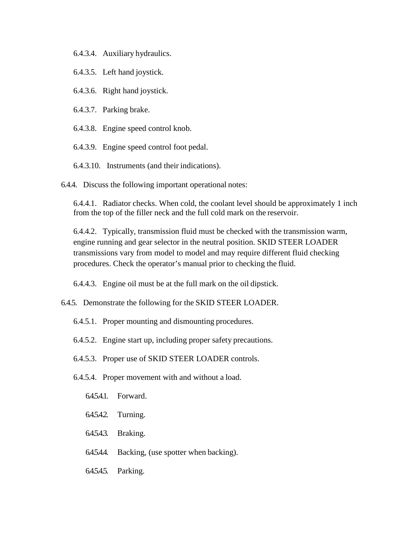- 6.4.3.4. Auxiliary hydraulics.
- 6.4.3.5. Left hand joystick.
- 6.4.3.6. Right hand joystick.
- 6.4.3.7. Parking brake.
- 6.4.3.8. Engine speed control knob.
- 6.4.3.9. Engine speed control foot pedal.
- 6.4.3.10. Instruments (and their indications).

6.4.4. Discuss the following important operational notes:

6.4.4.1. Radiator checks. When cold, the coolant level should be approximately 1 inch from the top of the filler neck and the full cold mark on the reservoir.

6.4.4.2. Typically, transmission fluid must be checked with the transmission warm, engine running and gear selector in the neutral position. SKID STEER LOADER transmissions vary from model to model and may require different fluid checking procedures. Check the operator's manual prior to checking the fluid.

6.4.4.3. Engine oil must be at the full mark on the oil dipstick.

- 6.4.5. Demonstrate the following for the SKID STEER LOADER.
	- 6.4.5.1. Proper mounting and dismounting procedures.
	- 6.4.5.2. Engine start up, including proper safety precautions.
	- 6.4.5.3. Proper use of SKID STEER LOADER controls.
	- 6.4.5.4. Proper movement with and without a load.
		- 6.4.5.4.1. Forward.
		- 6.4.5.4.2. Turning.
		- 6.4.5.4.3. Braking.
		- 6.4.5.4.4. Backing, (use spotter when backing).
		- 6.4.5.4.5. Parking.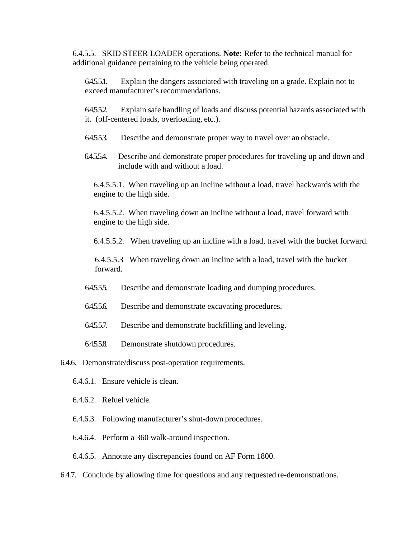6.4.5.5. SKID STEER LOADER operations. **Note:** Refer to the technical manual for additional guidance pertaining to the vehicle being operated.

6.4.5.5.1. Explain the dangers associated with traveling on a grade. Explain not to exceed manufacturer's recommendations.

6.4.5.5.2. Explain safe handling of loads and discuss potential hazards associated with it. (off-centered loads, overloading, etc.).

- 6.4.5.5.3. Describe and demonstrate proper way to travel over an obstacle.
- 6.4.5.5.4. Describe and demonstrate proper procedures for traveling up and down and include with and without a load.

6.4.5.5.1. When traveling up an incline without a load, travel backwards with the engine to the high side.

6.4.5.5.2. When traveling down an incline without a load, travel forward with engine to the high side.

6.4.5.5.2. When traveling up an incline with a load, travel with the bucket forward.

 6.4.5.5.3 When traveling down an incline with a load, travel with the bucket forward.

- 6.4.555. Describe and demonstrate loading and dumping procedures.
- 6.4.5.5.6. Describe and demonstrate excavating procedures.
- 6.4.5.5.7. Describe and demonstrate backfilling and leveling.
- 6.4.5.5.8. Demonstrate shutdown procedures.
- 6.4.6. Demonstrate/discuss post-operation requirements.
	- 6.4.6.1. Ensure vehicle is clean.
	- 6.4.6.2. Refuel vehicle.
	- 6.4.6.3. Following manufacturer's shut-down procedures.
	- 6.4.6.4. Perform a 360 walk-around inspection.
	- 6.4.6.5. Annotate any discrepancies found on AF Form 1800.
- 6.4.7. Conclude by allowing time for questions and any requested re-demonstrations.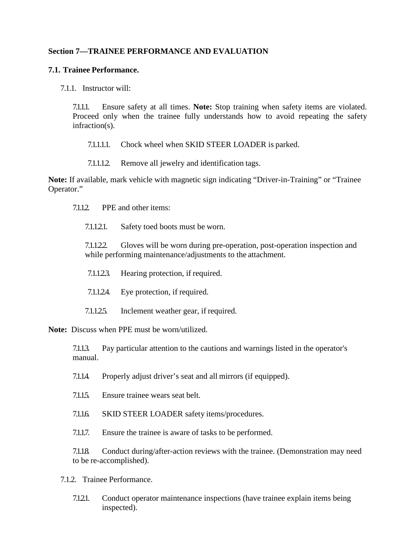### <span id="page-21-0"></span>**Section 7—TRAINEE PERFORMANCE AND EVALUATION**

### <span id="page-21-1"></span>**7.1. Trainee Performance.**

7.1.1. Instructor will:

7.1.1.1. Ensure safety at all times. **Note:** Stop training when safety items are violated. Proceed only when the trainee fully understands how to avoid repeating the safety infraction(s).

7.1.1.1.1. Chock wheel when SKID STEER LOADER is parked.

7.1.1.1.2. Remove all jewelry and identification tags.

**Note:** If available, mark vehicle with magnetic sign indicating "Driver-in-Training" or "Trainee Operator."

7.1.1.2. PPE and other items:

7.1.1.2.1. Safety toed boots must be worn.

7.1.1.2.2. Gloves will be worn during pre-operation, post-operation inspection and while performing maintenance/adjustments to the attachment.

- 7.1.1.2.3. Hearing protection, if required.
- 7.1.1.2.4. Eye protection, if required.
- 7.1.125. Inclement weather gear, if required.

**Note:** Discuss when PPE must be worn/utilized.

7.1.1.3. Pay particular attention to the cautions and warnings listed in the operator's manual.

- 7.1.1.4. Properly adjust driver's seat and all mirrors (if equipped).
- 7.1.1.5. Ensure trainee wears seat belt.
- 7.1.1.6. SKID STEER LOADER safety items/procedures.

7.1.1.7. Ensure the trainee is aware of tasks to be performed.

7.1.1.8. Conduct during/after-action reviews with the trainee. (Demonstration may need to be re-accomplished).

7.1.2. Trainee Performance.

7.1.2.1. Conduct operator maintenance inspections (have trainee explain items being inspected).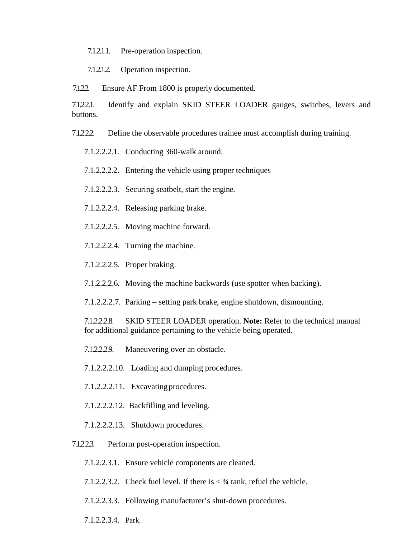7.1.2.1.1. Pre-operation inspection.

7.1.2.1.2. Operation inspection.

7.1.22. Ensure AF From 1800 is properly documented.

7.1.2.2.1. Identify and explain SKID STEER LOADER gauges, switches, levers and buttons.

- 7.1.2.2.2. Define the observable procedures trainee must accomplish during training.
	- 7.1.2.2.2.1. Conducting 360-walk around.
	- 7.1.2.2.2.2. Entering the vehicle using proper techniques
	- 7.1.2.2.2.3. Securing seatbelt, start the engine.
	- 7.1.2.2.2.4. Releasing parking brake.
	- 7.1.2.2.2.5. Moving machine forward.
	- 7.1.2.2.2.4. Turning the machine.
	- 7.1.2.2.2.5. Proper braking.
	- 7.1.2.2.2.6. Moving the machine backwards (use spotter when backing).
	- 7.1.2.2.2.7. Parking setting park brake, engine shutdown, dismounting.

7.1.2.2.2.8. SKID STEER LOADER operation. **Note:** Refer to the technical manual for additional guidance pertaining to the vehicle being operated.

- 7.1.2.2.2.9. Maneuvering over an obstacle.
- 7.1.2.2.2.10. Loading and dumping procedures.
- 7.1.2.2.2.11. Excavating procedures.
- 7.1.2.2.2.12. Backfilling and leveling.
- 7.1.2.2.2.13. Shutdown procedures.
- 7.1.2.2.3. Perform post-operation inspection.
	- 7.1.2.2.3.1. Ensure vehicle components are cleaned.
	- 7.1.2.2.3.2. Check fuel level. If there is  $\lt^3$  tank, refuel the vehicle.
	- 7.1.2.2.3.3. Following manufacturer's shut-down procedures.
	- 7.1.2.2.3.4. Park.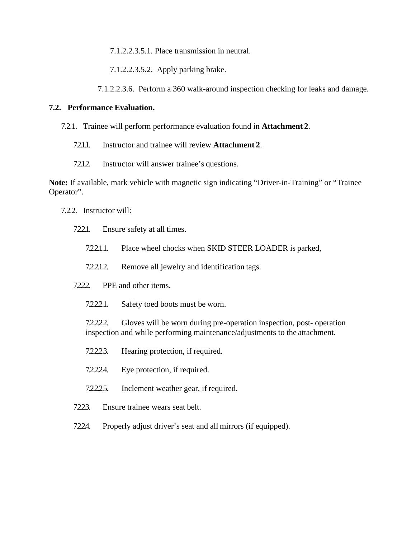7.1.2.2.3.5.1. Place transmission in neutral.

7.1.2.2.3.5.2. Apply parking brake.

7.1.2.2.3.6. Perform a 360 walk-around inspection checking for leaks and damage.

#### <span id="page-23-0"></span>**7.2. Performance Evaluation.**

- 7.2.1. Trainee will perform performance evaluation found in **Attachment 2**.
	- 7.2.1.1. Instructor and trainee will review **Attachment 2**.
	- 72.1.2. Instructor will answer trainee's questions.

**Note:** If available, mark vehicle with magnetic sign indicating "Driver-in-Training" or "Trainee Operator".

- 7.2.2. Instructor will:
	- 7.2.2.1. Ensure safety at all times.
		- 7.2.2.1.1. Place wheel chocks when SKID STEER LOADER is parked,
		- 7.2.2.1.2. Remove all jewelry and identification tags.
	- 7.2.2. PPE and other items.
		- 7.2.2.2.1. Safety toed boots must be worn.

7.2.2.2.2. Gloves will be worn during pre-operation inspection, post- operation inspection and while performing maintenance/adjustments to the attachment.

- 7.2.2.2.3. Hearing protection, if required.
- 7.2.2.2.4. Eye protection, if required.
- 7.2.2.2.5. Inclement weather gear, if required.
- 7.2.2.3. Ensure trainee wears seat belt.
- 7.2.2.4. Properly adjust driver's seat and all mirrors (if equipped).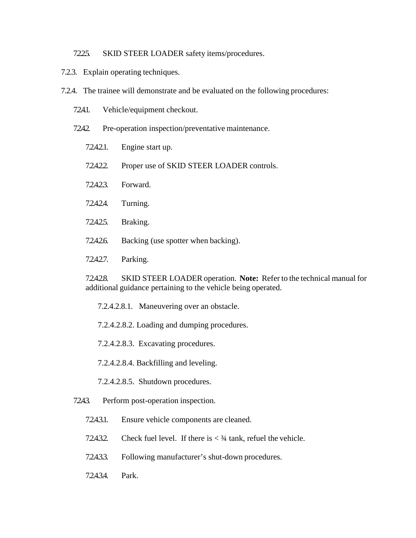#### 7225. SKID STEER LOADER safety items/procedures.

- 7.2.3. Explain operating techniques.
- 7.2.4. The trainee will demonstrate and be evaluated on the following procedures:
	- 724.1. Vehicle/equipment checkout.
	- 7242. Pre-operation inspection/preventative maintenance.
		- 7.2.4.2.1. Engine start up.
		- 72.4.2.2. Proper use of SKID STEER LOADER controls.
		- 7.2.4.2.3. Forward.
		- 7.2.4.2.4. Turning.
		- 7.2.4.2.5. Braking.
		- 7.2.4.2.6. Backing (use spotter when backing).
		- 7.2.4.2.7. Parking.

7.2.4.2.8. SKID STEER LOADER operation. **Note:** Refer to the technical manual for additional guidance pertaining to the vehicle being operated.

7.2.4.2.8.1. Maneuvering over an obstacle.

- 7.2.4.2.8.2. Loading and dumping procedures.
- 7.2.4.2.8.3. Excavating procedures.
- 7.2.4.2.8.4. Backfilling and leveling.
- 7.2.4.2.8.5. Shutdown procedures.
- 7243. Perform post-operation inspection.
	- 7.2.4.3.1. Ensure vehicle components are cleaned.
	- 7.2.4.3.2. Check fuel level. If there is  $\lt^3/4$  tank, refuel the vehicle.
	- 7.2.4.3.3. Following manufacturer's shut-down procedures.
	- 7.24.34. Park.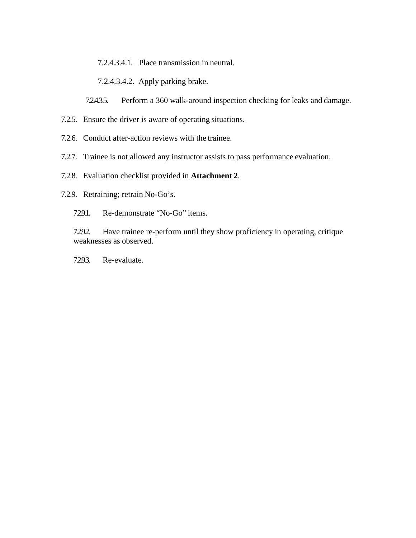7.2.4.3.4.1. Place transmission in neutral.

7.2.4.3.4.2. Apply parking brake.

72.435. Perform a 360 walk-around inspection checking for leaks and damage.

- 7.2.5. Ensure the driver is aware of operating situations.
- 7.2.6. Conduct after-action reviews with the trainee.
- 7.2.7. Trainee is not allowed any instructor assists to pass performance evaluation.
- 7.2.8. Evaluation checklist provided in **Attachment 2**.
- 7.2.9. Retraining; retrain No-Go's.
	- 7.29.1. Re-demonstrate "No-Go" items.

7292. Have trainee re-perform until they show proficiency in operating, critique weaknesses as observed.

7.293. Re-evaluate.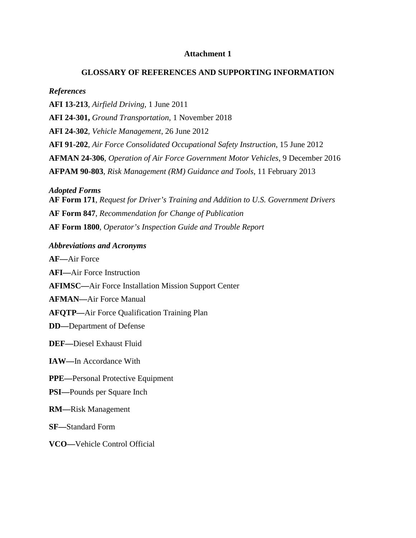#### **Attachment 1**

#### **GLOSSARY OF REFERENCES AND SUPPORTING INFORMATION**

#### <span id="page-26-0"></span>*References*

**AFI 13-213**, *Airfield Driving,* 1 June 2011 **AFI 24-301,** *Ground Transportation*, 1 November 2018 **AFI 24-302**, *Vehicle Management*, 26 June 2012 **AFI 91-202**, *Air Force Consolidated Occupational Safety Instruction*, 15 June 2012 **AFMAN 24-306**, *Operation of Air Force Government Motor Vehicles*, 9 December 2016 **AFPAM 90-803**, *Risk Management (RM) Guidance and Tools*, 11 February 2013

*Adopted Forms*

**AF Form 171**, *Request for Driver's Training and Addition to U.S. Government Drivers* **AF Form 847**, *Recommendation for Change of Publication* **AF Form 1800**, *Operator's Inspection Guide and Trouble Report*

#### *Abbreviations and Acronyms*

**AF—**Air Force

**AFI—**Air Force Instruction

**AFIMSC—**Air Force Installation Mission Support Center

**AFMAN—**Air Force Manual

**AFQTP—**Air Force Qualification Training Plan

**DD—**Department of Defense

**DEF—**Diesel Exhaust Fluid

#### **IAW—**In Accordance With

#### **PPE—**Personal Protective Equipment

#### **PSI—**Pounds per Square Inch

**RM—**Risk Management

**SF—**Standard Form

**VCO—**Vehicle Control Official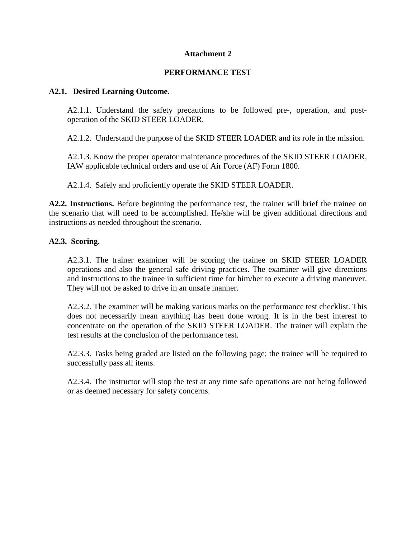## **Attachment 2**

## **PERFORMANCE TEST**

### <span id="page-27-0"></span>**A2.1. Desired Learning Outcome.**

A2.1.1. Understand the safety precautions to be followed pre-, operation, and postoperation of the SKID STEER LOADER.

A2.1.2. Understand the purpose of the SKID STEER LOADER and its role in the mission.

A2.1.3. Know the proper operator maintenance procedures of the SKID STEER LOADER, IAW applicable technical orders and use of Air Force (AF) Form 1800.

A2.1.4. Safely and proficiently operate the SKID STEER LOADER.

**A2.2. Instructions.** Before beginning the performance test, the trainer will brief the trainee on the scenario that will need to be accomplished. He/she will be given additional directions and instructions as needed throughout the scenario.

## **A2.3. Scoring.**

A2.3.1. The trainer examiner will be scoring the trainee on SKID STEER LOADER operations and also the general safe driving practices. The examiner will give directions and instructions to the trainee in sufficient time for him/her to execute a driving maneuver. They will not be asked to drive in an unsafe manner.

A2.3.2. The examiner will be making various marks on the performance test checklist. This does not necessarily mean anything has been done wrong. It is in the best interest to concentrate on the operation of the SKID STEER LOADER. The trainer will explain the test results at the conclusion of the performance test.

A2.3.3. Tasks being graded are listed on the following page; the trainee will be required to successfully pass all items.

A2.3.4. The instructor will stop the test at any time safe operations are not being followed or as deemed necessary for safety concerns.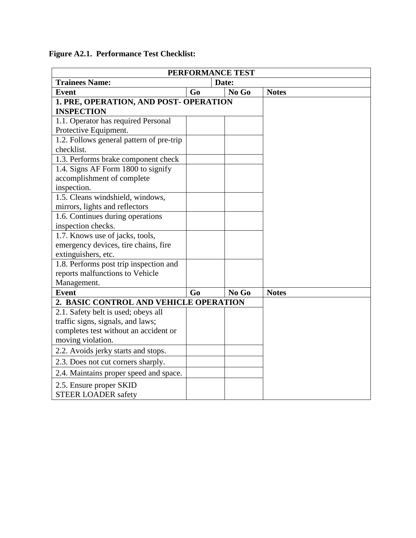|                                          |                | PERFORMANCE TEST |  |
|------------------------------------------|----------------|------------------|--|
| <b>Trainees Name:</b>                    |                | Date:            |  |
| <b>Event</b>                             | G <sub>0</sub> | No Go            |  |
| 1. PRE, OPERATION, AND POST- OPERATION   |                |                  |  |
| <b>INSPECTION</b>                        |                |                  |  |
| 1.1. Operator has required Personal      |                |                  |  |
| Protective Equipment.                    |                |                  |  |
| 1.2. Follows general pattern of pre-trip |                |                  |  |
| checklist.                               |                |                  |  |
| 1.3. Performs brake component check      |                |                  |  |
| 1.4. Signs AF Form 1800 to signify       |                |                  |  |
| accomplishment of complete               |                |                  |  |
| inspection.                              |                |                  |  |
| 1.5. Cleans windshield, windows,         |                |                  |  |
| mirrors, lights and reflectors           |                |                  |  |
| 1.6. Continues during operations         |                |                  |  |
| inspection checks.                       |                |                  |  |
| 1.7. Knows use of jacks, tools,          |                |                  |  |
| emergency devices, tire chains, fire     |                |                  |  |
| extinguishers, etc.                      |                |                  |  |
| 1.8. Performs post trip inspection and   |                |                  |  |
| reports malfunctions to Vehicle          |                |                  |  |
| Management.                              |                |                  |  |
| <b>Event</b>                             | Go             | No Go            |  |
| 2. BASIC CONTROL AND VEHICLE OPERATION   |                |                  |  |
| 2.1. Safety belt is used; obeys all      |                |                  |  |
| traffic signs, signals, and laws;        |                |                  |  |
| completes test without an accident or    |                |                  |  |
| moving violation.                        |                |                  |  |
| 2.2. Avoids jerky starts and stops.      |                |                  |  |
| 2.3. Does not cut corners sharply.       |                |                  |  |
| 2.4. Maintains proper speed and space.   |                |                  |  |
| 2.5. Ensure proper SKID                  |                |                  |  |
| <b>STEER LOADER safety</b>               |                |                  |  |

**Figure A2.1. Performance Test Checklist:**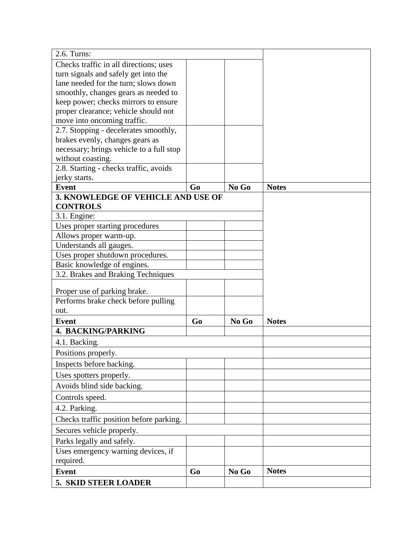| 2.6. Turns:                                        |                |       |              |
|----------------------------------------------------|----------------|-------|--------------|
| Checks traffic in all directions; uses             |                |       |              |
| turn signals and safely get into the               |                |       |              |
| lane needed for the turn; slows down               |                |       |              |
| smoothly, changes gears as needed to               |                |       |              |
| keep power; checks mirrors to ensure               |                |       |              |
| proper clearance; vehicle should not               |                |       |              |
| move into oncoming traffic.                        |                |       |              |
| 2.7. Stopping - decelerates smoothly,              |                |       |              |
| brakes evenly, changes gears as                    |                |       |              |
| necessary; brings vehicle to a full stop           |                |       |              |
| without coasting.                                  |                |       |              |
| 2.8. Starting - checks traffic, avoids             |                |       |              |
| jerky starts.                                      | Go             | No Go | <b>Notes</b> |
| <b>Event</b><br>3. KNOWLEDGE OF VEHICLE AND USE OF |                |       |              |
| <b>CONTROLS</b>                                    |                |       |              |
| 3.1. Engine:                                       |                |       |              |
| Uses proper starting procedures                    |                |       |              |
| Allows proper warm-up.                             |                |       |              |
| Understands all gauges.                            |                |       |              |
| Uses proper shutdown procedures.                   |                |       |              |
| Basic knowledge of engines.                        |                |       |              |
| 3.2. Brakes and Braking Techniques                 |                |       |              |
|                                                    |                |       |              |
| Proper use of parking brake.                       |                |       |              |
| Performs brake check before pulling                |                |       |              |
| out.                                               |                |       |              |
| <b>Event</b>                                       | G <sub>o</sub> | No Go | <b>Notes</b> |
| <b>4. BACKING/PARKING</b>                          |                |       |              |
| 4.1. Backing.                                      |                |       |              |
| Positions properly.                                |                |       |              |
| Inspects before backing.                           |                |       |              |
| Uses spotters properly.                            |                |       |              |
| Avoids blind side backing.                         |                |       |              |
|                                                    |                |       |              |
| Controls speed.                                    |                |       |              |
| 4.2. Parking.                                      |                |       |              |
| Checks traffic position before parking.            |                |       |              |
| Secures vehicle properly.                          |                |       |              |
| Parks legally and safely.                          |                |       |              |
| Uses emergency warning devices, if                 |                |       |              |
| required.                                          |                |       |              |
| <b>Event</b>                                       | G <sub>0</sub> | No Go | <b>Notes</b> |
| <b>5. SKID STEER LOADER</b>                        |                |       |              |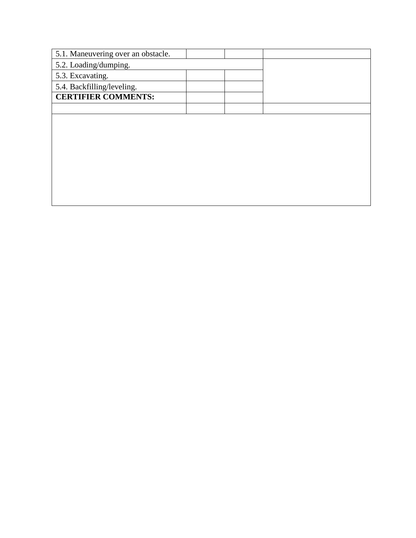| 5.1. Maneuvering over an obstacle. |  |  |
|------------------------------------|--|--|
| 5.2. Loading/dumping.              |  |  |
| 5.3. Excavating.                   |  |  |
| 5.4. Backfilling/leveling.         |  |  |
| <b>CERTIFIER COMMENTS:</b>         |  |  |
|                                    |  |  |
|                                    |  |  |
|                                    |  |  |
|                                    |  |  |
|                                    |  |  |
|                                    |  |  |
|                                    |  |  |
|                                    |  |  |
|                                    |  |  |
|                                    |  |  |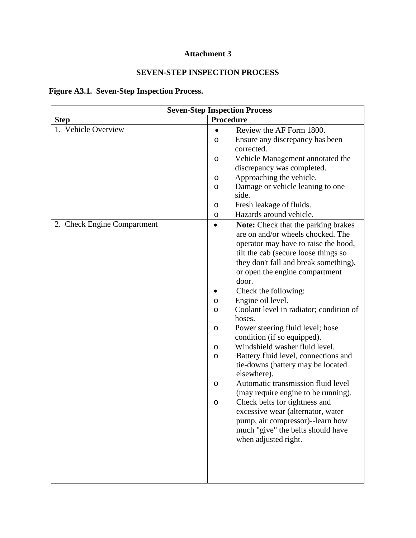## **Attachment 3**

## **SEVEN-STEP INSPECTION PROCESS**

## <span id="page-31-0"></span>**Figure A3.1. Seven-Step Inspection Process.**

|                             | <b>Seven-Step Inspection Process</b>                                                                                                                                                                                                                                                                                                                                                                                                                                                                                                                                                                                                                                                                                                                                                                                                                |
|-----------------------------|-----------------------------------------------------------------------------------------------------------------------------------------------------------------------------------------------------------------------------------------------------------------------------------------------------------------------------------------------------------------------------------------------------------------------------------------------------------------------------------------------------------------------------------------------------------------------------------------------------------------------------------------------------------------------------------------------------------------------------------------------------------------------------------------------------------------------------------------------------|
| <b>Step</b>                 | Procedure                                                                                                                                                                                                                                                                                                                                                                                                                                                                                                                                                                                                                                                                                                                                                                                                                                           |
| 1. Vehicle Overview         | Review the AF Form 1800.<br>$\bullet$                                                                                                                                                                                                                                                                                                                                                                                                                                                                                                                                                                                                                                                                                                                                                                                                               |
|                             | Ensure any discrepancy has been<br>O                                                                                                                                                                                                                                                                                                                                                                                                                                                                                                                                                                                                                                                                                                                                                                                                                |
|                             | corrected.                                                                                                                                                                                                                                                                                                                                                                                                                                                                                                                                                                                                                                                                                                                                                                                                                                          |
|                             | Vehicle Management annotated the<br>O                                                                                                                                                                                                                                                                                                                                                                                                                                                                                                                                                                                                                                                                                                                                                                                                               |
|                             | discrepancy was completed.                                                                                                                                                                                                                                                                                                                                                                                                                                                                                                                                                                                                                                                                                                                                                                                                                          |
|                             | Approaching the vehicle.<br>O                                                                                                                                                                                                                                                                                                                                                                                                                                                                                                                                                                                                                                                                                                                                                                                                                       |
|                             | Damage or vehicle leaning to one<br>O<br>side.                                                                                                                                                                                                                                                                                                                                                                                                                                                                                                                                                                                                                                                                                                                                                                                                      |
|                             | Fresh leakage of fluids.<br>O                                                                                                                                                                                                                                                                                                                                                                                                                                                                                                                                                                                                                                                                                                                                                                                                                       |
|                             | Hazards around vehicle.<br>O                                                                                                                                                                                                                                                                                                                                                                                                                                                                                                                                                                                                                                                                                                                                                                                                                        |
| 2. Check Engine Compartment | Note: Check that the parking brakes<br>$\bullet$<br>are on and/or wheels chocked. The<br>operator may have to raise the hood,<br>tilt the cab (secure loose things so<br>they don't fall and break something),<br>or open the engine compartment<br>door.<br>Check the following:<br>Engine oil level.<br>O<br>Coolant level in radiator; condition of<br>O<br>hoses.<br>Power steering fluid level; hose<br>O<br>condition (if so equipped).<br>Windshield washer fluid level.<br>O<br>Battery fluid level, connections and<br>O<br>tie-downs (battery may be located<br>elsewhere).<br>Automatic transmission fluid level<br>O<br>(may require engine to be running).<br>Check belts for tightness and<br>O<br>excessive wear (alternator, water<br>pump, air compressor)--learn how<br>much "give" the belts should have<br>when adjusted right. |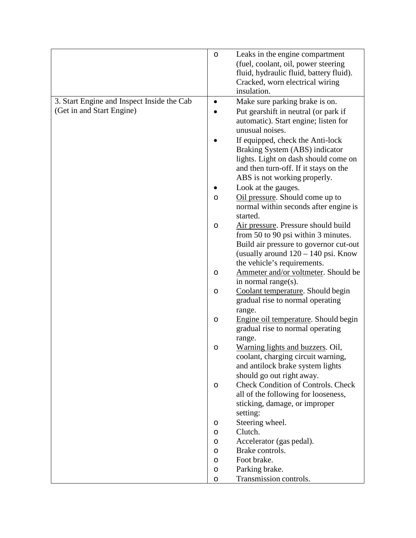|                                            | O | Leaks in the engine compartment             |
|--------------------------------------------|---|---------------------------------------------|
|                                            |   | (fuel, coolant, oil, power steering         |
|                                            |   | fluid, hydraulic fluid, battery fluid).     |
|                                            |   | Cracked, worn electrical wiring             |
|                                            |   | insulation.                                 |
| 3. Start Engine and Inspect Inside the Cab |   | Make sure parking brake is on.              |
| (Get in and Start Engine)                  |   | Put gearshift in neutral (or park if        |
|                                            |   | automatic). Start engine; listen for        |
|                                            |   | unusual noises.                             |
|                                            |   | If equipped, check the Anti-lock            |
|                                            |   | Braking System (ABS) indicator              |
|                                            |   | lights. Light on dash should come on        |
|                                            |   | and then turn-off. If it stays on the       |
|                                            |   | ABS is not working properly.                |
|                                            |   | Look at the gauges.                         |
|                                            | O | Oil pressure. Should come up to             |
|                                            |   | normal within seconds after engine is       |
|                                            |   | started.                                    |
|                                            | O | Air pressure. Pressure should build         |
|                                            |   | from 50 to 90 psi within 3 minutes.         |
|                                            |   | Build air pressure to governor cut-out      |
|                                            |   | (usually around $120 - 140$ psi. Know       |
|                                            |   | the vehicle's requirements.                 |
|                                            | O | Ammeter and/or voltmeter. Should be         |
|                                            |   | in normal range(s).                         |
|                                            | O | Coolant temperature. Should begin           |
|                                            |   | gradual rise to normal operating            |
|                                            |   | range.                                      |
|                                            | O | Engine oil temperature. Should begin        |
|                                            |   | gradual rise to normal operating            |
|                                            |   | range.                                      |
|                                            | O | Warning lights and buzzers. Oil,            |
|                                            |   | coolant, charging circuit warning,          |
|                                            |   | and antilock brake system lights            |
|                                            |   | should go out right away.                   |
|                                            | O | <b>Check Condition of Controls. Check</b>   |
|                                            |   | all of the following for looseness,         |
|                                            |   | sticking, damage, or improper               |
|                                            |   | setting:                                    |
|                                            | O | Steering wheel.                             |
|                                            | O | Clutch.                                     |
|                                            | O | Accelerator (gas pedal).<br>Brake controls. |
|                                            | O | Foot brake.                                 |
|                                            | O | Parking brake.                              |
|                                            | O | Transmission controls.                      |
|                                            | O |                                             |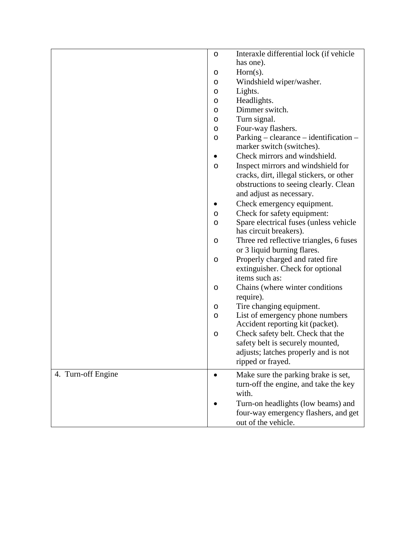|                    | $\circ$ | Interaxle differential lock (if vehicle                                                                       |
|--------------------|---------|---------------------------------------------------------------------------------------------------------------|
|                    |         | has one).                                                                                                     |
|                    | O       | $Horn(s)$ .                                                                                                   |
|                    | O       | Windshield wiper/washer.                                                                                      |
|                    | O       | Lights.                                                                                                       |
|                    | O       | Headlights.                                                                                                   |
|                    | O       | Dimmer switch.                                                                                                |
|                    | O       | Turn signal.                                                                                                  |
|                    | O       | Four-way flashers.                                                                                            |
|                    | $\circ$ | Parking – clearance – identification –<br>marker switch (switches).                                           |
|                    |         | Check mirrors and windshield.                                                                                 |
|                    | O       | Inspect mirrors and windshield for                                                                            |
|                    |         | cracks, dirt, illegal stickers, or other<br>obstructions to seeing clearly. Clean<br>and adjust as necessary. |
|                    |         | Check emergency equipment.                                                                                    |
|                    | O       | Check for safety equipment:                                                                                   |
|                    | O       | Spare electrical fuses (unless vehicle                                                                        |
|                    |         | has circuit breakers).                                                                                        |
|                    | O       | Three red reflective triangles, 6 fuses<br>or 3 liquid burning flares.                                        |
|                    | $\circ$ | Properly charged and rated fire                                                                               |
|                    |         | extinguisher. Check for optional                                                                              |
|                    |         | items such as:                                                                                                |
|                    | O       | Chains (where winter conditions)                                                                              |
|                    |         | require).                                                                                                     |
|                    | O       | Tire changing equipment.                                                                                      |
|                    | O       | List of emergency phone numbers                                                                               |
|                    |         | Accident reporting kit (packet).                                                                              |
|                    | O       | Check safety belt. Check that the                                                                             |
|                    |         | safety belt is securely mounted,                                                                              |
|                    |         | adjusts; latches properly and is not<br>ripped or frayed.                                                     |
|                    |         |                                                                                                               |
| 4. Turn-off Engine |         | Make sure the parking brake is set,                                                                           |
|                    |         | turn-off the engine, and take the key<br>with.                                                                |
|                    |         | Turn-on headlights (low beams) and                                                                            |
|                    |         | four-way emergency flashers, and get<br>out of the vehicle.                                                   |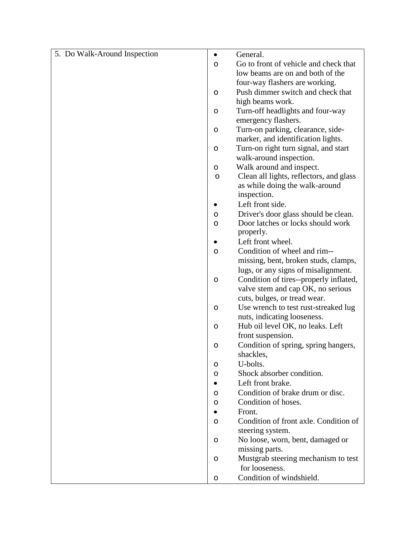| 5. Do Walk-Around Inspection | $\bullet$ | General.                                                  |
|------------------------------|-----------|-----------------------------------------------------------|
|                              | O         | Go to front of vehicle and check that                     |
|                              |           | low beams are on and both of the                          |
|                              |           | four-way flashers are working.                            |
|                              | O         | Push dimmer switch and check that                         |
|                              |           | high beams work.                                          |
|                              | $\circ$   | Turn-off headlights and four-way                          |
|                              |           | emergency flashers.                                       |
|                              | O         | Turn-on parking, clearance, side-                         |
|                              |           | marker, and identification lights.                        |
|                              | $\circ$   | Turn-on right turn signal, and start                      |
|                              |           | walk-around inspection.                                   |
|                              | O         | Walk around and inspect.                                  |
|                              | O         | Clean all lights, reflectors, and glass                   |
|                              |           | as while doing the walk-around                            |
|                              |           | inspection.                                               |
|                              |           | Left front side.                                          |
|                              | O         | Driver's door glass should be clean.                      |
|                              | O         | Door latches or locks should work                         |
|                              |           | properly.                                                 |
|                              |           | Left front wheel.                                         |
|                              | O         | Condition of wheel and rim--                              |
|                              |           | missing, bent, broken studs, clamps,                      |
|                              |           | lugs, or any signs of misalignment.                       |
|                              | O         | Condition of tires--properly inflated,                    |
|                              |           | valve stem and cap OK, no serious                         |
|                              |           | cuts, bulges, or tread wear.                              |
|                              | O         | Use wrench to test rust-streaked lug                      |
|                              |           | nuts, indicating looseness.                               |
|                              | $\circ$   | Hub oil level OK, no leaks. Left                          |
|                              |           | front suspension.<br>Condition of spring, spring hangers, |
|                              | O         | shackles,                                                 |
|                              |           | U-bolts.                                                  |
|                              | O         | Shock absorber condition.                                 |
|                              | O         | Left front brake.                                         |
|                              |           | Condition of brake drum or disc.                          |
|                              | O<br>O    | Condition of hoses.                                       |
|                              |           | Front.                                                    |
|                              | O         | Condition of front axle. Condition of                     |
|                              |           | steering system.                                          |
|                              | O         | No loose, worn, bent, damaged or                          |
|                              |           | missing parts.                                            |
|                              | O         | Mustgrab steering mechanism to test                       |
|                              |           | for looseness.                                            |
|                              | O         | Condition of windshield.                                  |
|                              |           |                                                           |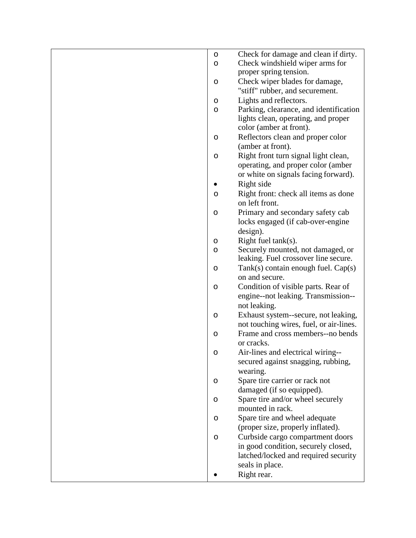| O       | Check for damage and clean if dirty.    |
|---------|-----------------------------------------|
| O       | Check windshield wiper arms for         |
|         | proper spring tension.                  |
| O       | Check wiper blades for damage,          |
|         | "stiff" rubber, and securement.         |
|         |                                         |
| O       | Lights and reflectors.                  |
| O       | Parking, clearance, and identification  |
|         | lights clean, operating, and proper     |
|         | color (amber at front).                 |
| O       | Reflectors clean and proper color       |
|         | (amber at front).                       |
| O       | Right front turn signal light clean,    |
|         | operating, and proper color (amber      |
|         | or white on signals facing forward).    |
|         | Right side                              |
| O       | Right front: check all items as done    |
|         | on left front.                          |
| O       | Primary and secondary safety cab        |
|         | locks engaged (if cab-over-engine       |
|         | design).                                |
| O       | Right fuel $tank(s)$ .                  |
|         | Securely mounted, not damaged, or       |
| O       | leaking. Fuel crossover line secure.    |
| $\circ$ | $Tank(s)$ contain enough fuel. $Cap(s)$ |
|         | on and secure.                          |
|         |                                         |
| O       | Condition of visible parts. Rear of     |
|         | engine--not leaking. Transmission--     |
|         | not leaking.                            |
| O       | Exhaust system--secure, not leaking,    |
|         | not touching wires, fuel, or air-lines. |
| $\circ$ | Frame and cross members--no bends       |
|         | or cracks.                              |
| $\circ$ | Air-lines and electrical wiring--       |
|         | secured against snagging, rubbing,      |
|         | wearing.                                |
| O       | Spare tire carrier or rack not          |
|         | damaged (if so equipped).               |
| O       | Spare tire and/or wheel securely        |
|         | mounted in rack.                        |
| O       | Spare tire and wheel adequate           |
|         | (proper size, properly inflated).       |
| O       | Curbside cargo compartment doors        |
|         | in good condition, securely closed,     |
|         | latched/locked and required security    |
|         |                                         |
|         | seals in place.                         |
|         | Right rear.                             |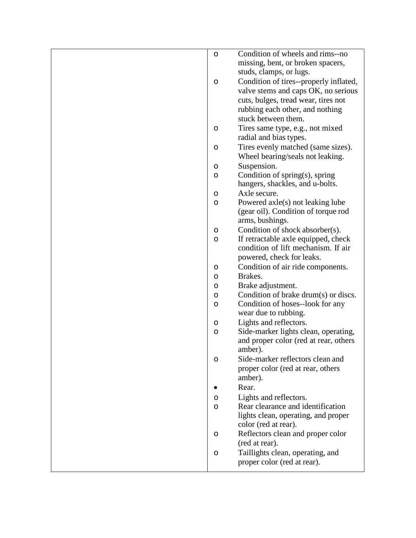| $\circ$ | Condition of wheels and rims--no                         |
|---------|----------------------------------------------------------|
|         | missing, bent, or broken spacers,                        |
|         | studs, clamps, or lugs.                                  |
| $\circ$ | Condition of tires--properly inflated,                   |
|         | valve stems and caps OK, no serious                      |
|         | cuts, bulges, tread wear, tires not                      |
|         | rubbing each other, and nothing                          |
|         | stuck between them.                                      |
| O       | Tires same type, e.g., not mixed                         |
|         | radial and bias types.                                   |
| $\circ$ | Tires evenly matched (same sizes).                       |
|         | Wheel bearing/seals not leaking.                         |
| O       | Suspension.                                              |
| O       | Condition of spring(s), spring                           |
|         | hangers, shackles, and u-bolts.                          |
| O       | Axle secure.                                             |
| O       | Powered axle(s) not leaking lube                         |
|         | (gear oil). Condition of torque rod                      |
|         | arms, bushings.                                          |
| O       | Condition of shock absorber(s).                          |
| O       | If retractable axle equipped, check                      |
|         | condition of lift mechanism. If air                      |
|         | powered, check for leaks.                                |
| O       | Condition of air ride components.                        |
| O       | Brakes.                                                  |
| O       | Brake adjustment.                                        |
| O       | Condition of brake drum(s) or discs.                     |
| O       | Condition of hoses--look for any<br>wear due to rubbing. |
|         | Lights and reflectors.                                   |
| O<br>O  | Side-marker lights clean, operating,                     |
|         | and proper color (red at rear, others                    |
|         | amber).                                                  |
| O       | Side-marker reflectors clean and                         |
|         | proper color (red at rear, others                        |
|         | amber).                                                  |
|         | Rear.                                                    |
| O       | Lights and reflectors.                                   |
| O       | Rear clearance and identification                        |
|         | lights clean, operating, and proper                      |
|         | color (red at rear).                                     |
| O       | Reflectors clean and proper color                        |
|         | (red at rear).                                           |
| O       | Taillights clean, operating, and                         |
|         | proper color (red at rear).                              |
|         |                                                          |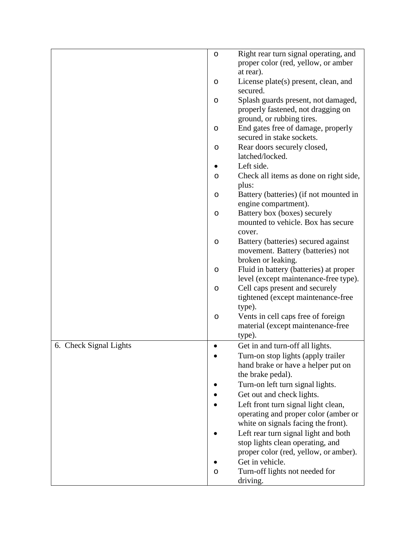|                        | $\circ$ | Right rear turn signal operating, and  |
|------------------------|---------|----------------------------------------|
|                        |         | proper color (red, yellow, or amber    |
|                        |         | at rear).                              |
|                        | O       | License plate(s) present, clean, and   |
|                        |         | secured.                               |
|                        | O       | Splash guards present, not damaged,    |
|                        |         | properly fastened, not dragging on     |
|                        |         | ground, or rubbing tires.              |
|                        | O       | End gates free of damage, properly     |
|                        |         | secured in stake sockets.              |
|                        | O       | Rear doors securely closed,            |
|                        |         | latched/locked.                        |
|                        |         | Left side.                             |
|                        | O       | Check all items as done on right side, |
|                        |         | plus:                                  |
|                        | O       | Battery (batteries) (if not mounted in |
|                        |         | engine compartment).                   |
|                        | O       | Battery box (boxes) securely           |
|                        |         | mounted to vehicle. Box has secure     |
|                        |         | cover.                                 |
|                        | O       | Battery (batteries) secured against    |
|                        |         | movement. Battery (batteries) not      |
|                        |         | broken or leaking.                     |
|                        | $\circ$ | Fluid in battery (batteries) at proper |
|                        |         | level (except maintenance-free type).  |
|                        | O       | Cell caps present and securely         |
|                        |         | tightened (except maintenance-free     |
|                        |         | type).                                 |
|                        | O       | Vents in cell caps free of foreign     |
|                        |         | material (except maintenance-free      |
|                        |         | type).                                 |
| 6. Check Signal Lights |         | Get in and turn-off all lights.        |
|                        |         | Turn-on stop lights (apply trailer     |
|                        |         | hand brake or have a helper put on     |
|                        |         | the brake pedal).                      |
|                        |         | Turn-on left turn signal lights.       |
|                        |         | Get out and check lights.              |
|                        |         | Left front turn signal light clean,    |
|                        |         | operating and proper color (amber or   |
|                        |         | white on signals facing the front).    |
|                        |         | Left rear turn signal light and both   |
|                        |         | stop lights clean operating, and       |
|                        |         | proper color (red, yellow, or amber).  |
|                        |         | Get in vehicle.                        |
|                        | O       | Turn-off lights not needed for         |
|                        |         | driving.                               |
|                        |         |                                        |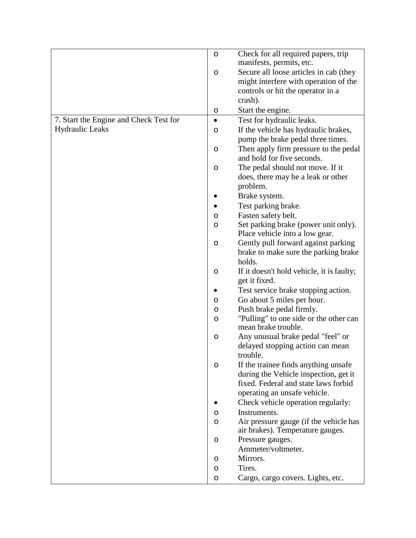|                                        | $\circ$   | Check for all required papers, trip                           |
|----------------------------------------|-----------|---------------------------------------------------------------|
|                                        |           | manifests, permits, etc.                                      |
|                                        | O         | Secure all loose articles in cab (they                        |
|                                        |           | might interfere with operation of the                         |
|                                        |           | controls or hit the operator in a                             |
|                                        |           | crash).                                                       |
|                                        | O         | Start the engine.                                             |
| 7. Start the Engine and Check Test for | $\bullet$ | Test for hydraulic leaks.                                     |
| <b>Hydraulic Leaks</b>                 | O         | If the vehicle has hydraulic brakes,                          |
|                                        |           | pump the brake pedal three times.                             |
|                                        | O         | Then apply firm pressure to the pedal                         |
|                                        |           | and hold for five seconds.                                    |
|                                        | O         | The pedal should not move. If it                              |
|                                        |           | does, there may be a leak or other                            |
|                                        |           | problem.                                                      |
|                                        |           | Brake system.                                                 |
|                                        |           | Test parking brake.                                           |
|                                        | O         | Fasten safety belt.                                           |
|                                        | O         | Set parking brake (power unit only).                          |
|                                        |           | Place vehicle into a low gear.                                |
|                                        | O         | Gently pull forward against parking                           |
|                                        |           | brake to make sure the parking brake                          |
|                                        |           | holds.                                                        |
|                                        | O         | If it doesn't hold vehicle, it is faulty;<br>get it fixed.    |
|                                        |           | Test service brake stopping action.                           |
|                                        | O         | Go about 5 miles per hour.                                    |
|                                        | O         | Push brake pedal firmly.                                      |
|                                        | O         | "Pulling" to one side or the other can<br>mean brake trouble. |
|                                        | O         | Any unusual brake pedal "feel" or                             |
|                                        |           | delayed stopping action can mean                              |
|                                        |           | trouble.                                                      |
|                                        | O         | If the trainee finds anything unsafe                          |
|                                        |           | during the Vehicle inspection, get it                         |
|                                        |           | fixed. Federal and state laws forbid                          |
|                                        |           | operating an unsafe vehicle.                                  |
|                                        |           | Check vehicle operation regularly:                            |
|                                        | O         | Instruments.                                                  |
|                                        | O         | Air pressure gauge (if the vehicle has                        |
|                                        |           | air brakes). Temperature gauges.                              |
|                                        | O         | Pressure gauges.                                              |
|                                        |           | Ammeter/voltmeter.                                            |
|                                        | O         | Mirrors.                                                      |
|                                        | O         | Tires.                                                        |
|                                        | O         | Cargo, cargo covers. Lights, etc.                             |